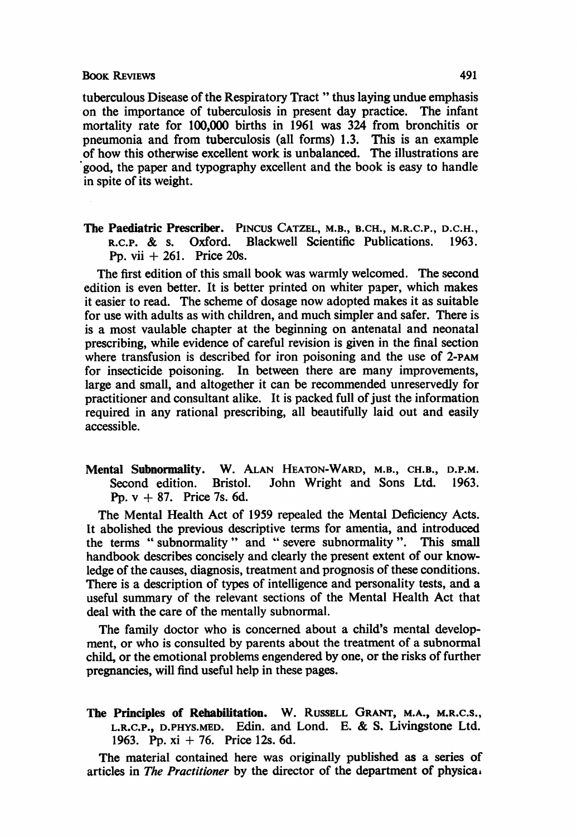tuberculous Disease of the Respiratory Tract " thus laying undue emphasis on the importance of tuberculosis in present day practice. The infant mortality rate for 100,000 births in 1961 was 324 from bronchitis or pneumonia and from tuberculosis (all forms) 1.3. This is an example of how this otherwise excellent work is unbalanced. The illustrations are good, the paper and typography excellent and the book is easy to handle in spite of its weight.

The Paediatric Prescriber. PINCUS CATZEL, M.B., B.CH., M.R.C.P., D.C.H., R.C.P. & s. Oxford. Blackwell Scientific Publications. 1963. R.C.P. & S. Oxford. Blackwell Scientific Publications. Pp. vii  $+261$ . Price 20s.

The first edition of this small book was warmly welcomed. The second edition is even better. It is better printed on whiter paper, which makes it easier to read. The scheme of dosage now adopted makes it as suitable for use with adults as with children, and much simpler and safer. There is is a most vaulable chapter at the beginning on antenatal and neonatal prescribing, while evidence of careful revision is given in the final section where transfusion is described for iron poisoning and the use of 2-PAM for insecticide poisoning. In between there are many improvements, large and small, and altogether it can be recommended unreservedly for practitioner and consultant alike. It is packed full of just the information required in any rational prescribing, all beautifully laid out and easily accessible.

Mental Subnormality. W. ALAN HEATON-WARD, M.B., CH.B., D.P.M. John Wright and Sons Ltd. Pp.  $v + 87$ . Price 7s. 6d.

The Mental Health Act of 1959 repealed the Mental Deficiency Acts. It abolished the previous descriptive terms for amentia, and introduced the terms " subnormality" and " severe subnormality ". This small handbook describes concisely and clearly the present extent of our knowledge of the causes, diagnosis, treatment and prognosis of these conditions. There is a description of types of intelligence and personality tests, and a useful summary of the relevant sections of the Mental Health Act that deal with the care of the mentally subnormal.

The family doctor who is concerned about a child's mental development, or who is consulted by parents about the treatment of a subnormal child, or the emotional problems engendered by one, or the risks of further pregnancies, will find useful help in these pages.

The Principles of Rehabilitation. W. RUSSELL GRANT, M.A., M.R.C.S., L.R.C.P., D.PHYS.MED. Edin. and Lond. E. & S. Livingstone Ltd. 1963. Pp. xi + 76. Price 12s. 6d.

The material contained here was originally published as a series of articles in The Practitioner by the director of the department of physica.